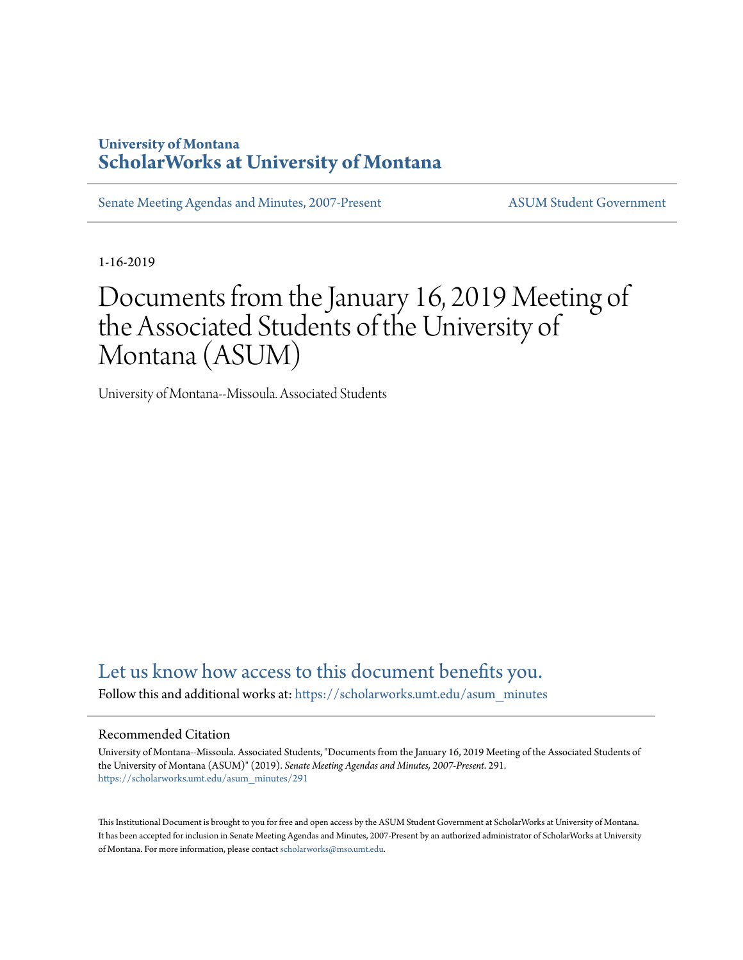# **University of Montana [ScholarWorks at University of Montana](https://scholarworks.umt.edu?utm_source=scholarworks.umt.edu%2Fasum_minutes%2F291&utm_medium=PDF&utm_campaign=PDFCoverPages)**

[Senate Meeting Agendas and Minutes, 2007-Present](https://scholarworks.umt.edu/asum_minutes?utm_source=scholarworks.umt.edu%2Fasum_minutes%2F291&utm_medium=PDF&utm_campaign=PDFCoverPages) [ASUM Student Government](https://scholarworks.umt.edu/student_government?utm_source=scholarworks.umt.edu%2Fasum_minutes%2F291&utm_medium=PDF&utm_campaign=PDFCoverPages)

1-16-2019

# Documents from the January 16, 2019 Meeting of the Associated Students of the University of Montana (ASUM)

University of Montana--Missoula. Associated Students

# [Let us know how access to this document benefits you.](https://goo.gl/forms/s2rGfXOLzz71qgsB2)

Follow this and additional works at: [https://scholarworks.umt.edu/asum\\_minutes](https://scholarworks.umt.edu/asum_minutes?utm_source=scholarworks.umt.edu%2Fasum_minutes%2F291&utm_medium=PDF&utm_campaign=PDFCoverPages)

#### Recommended Citation

University of Montana--Missoula. Associated Students, "Documents from the January 16, 2019 Meeting of the Associated Students of the University of Montana (ASUM)" (2019). *Senate Meeting Agendas and Minutes, 2007-Present*. 291. [https://scholarworks.umt.edu/asum\\_minutes/291](https://scholarworks.umt.edu/asum_minutes/291?utm_source=scholarworks.umt.edu%2Fasum_minutes%2F291&utm_medium=PDF&utm_campaign=PDFCoverPages)

This Institutional Document is brought to you for free and open access by the ASUM Student Government at ScholarWorks at University of Montana. It has been accepted for inclusion in Senate Meeting Agendas and Minutes, 2007-Present by an authorized administrator of ScholarWorks at University of Montana. For more information, please contact [scholarworks@mso.umt.edu](mailto:scholarworks@mso.umt.edu).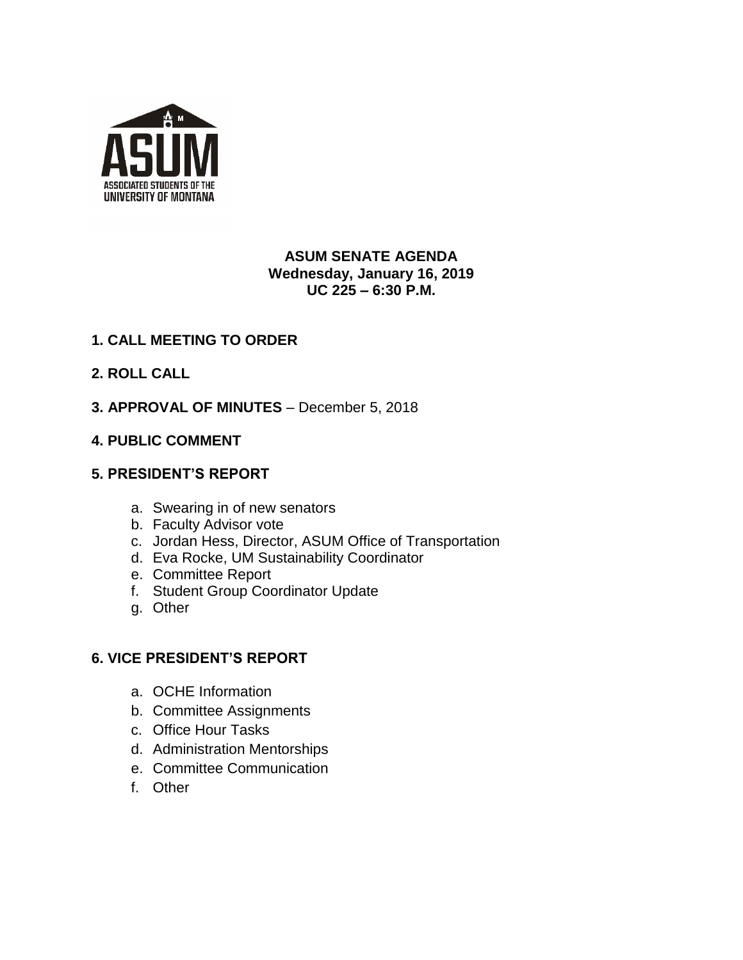

# **ASUM SENATE AGENDA Wednesday, January 16, 2019 UC 225 – 6:30 P.M.**

# **1. CALL MEETING TO ORDER**

- **2. ROLL CALL**
- **3. APPROVAL OF MINUTES**  December 5, 2018

### **4. PUBLIC COMMENT**

#### **5. PRESIDENT'S REPORT**

- a. Swearing in of new senators
- b. Faculty Advisor vote
- c. Jordan Hess, Director, ASUM Office of Transportation
- d. Eva Rocke, UM Sustainability Coordinator
- e. Committee Report
- f. Student Group Coordinator Update
- g. Other

# **6. VICE PRESIDENT'S REPORT**

- a. OCHE Information
- b. Committee Assignments
- c. Office Hour Tasks
- d. Administration Mentorships
- e. Committee Communication
- f. Other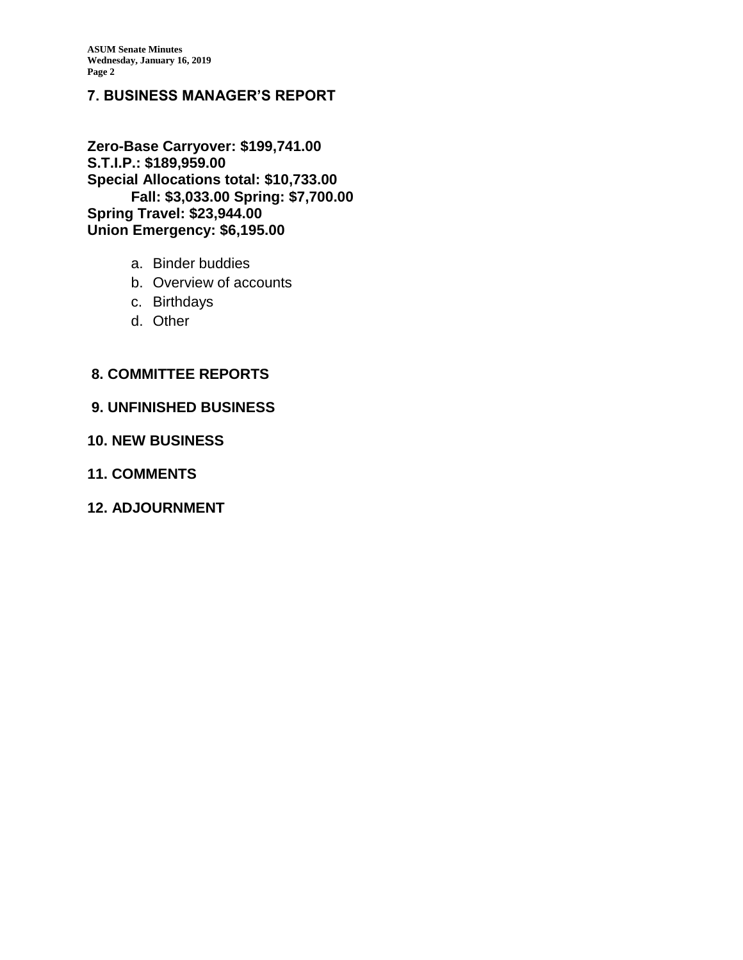### **7. BUSINESS MANAGER'S REPORT**

**Zero-Base Carryover: \$199,741.00 S.T.I.P.: \$189,959.00 Special Allocations total: \$10,733.00 Fall: \$3,033.00 Spring: \$7,700.00 Spring Travel: \$23,944.00 Union Emergency: \$6,195.00**

- a. Binder buddies
- b. Overview of accounts
- c. Birthdays
- d. Other

#### **8. COMMITTEE REPORTS**

#### **9. UNFINISHED BUSINESS**

#### **10. NEW BUSINESS**

**11. COMMENTS**

#### **12. ADJOURNMENT**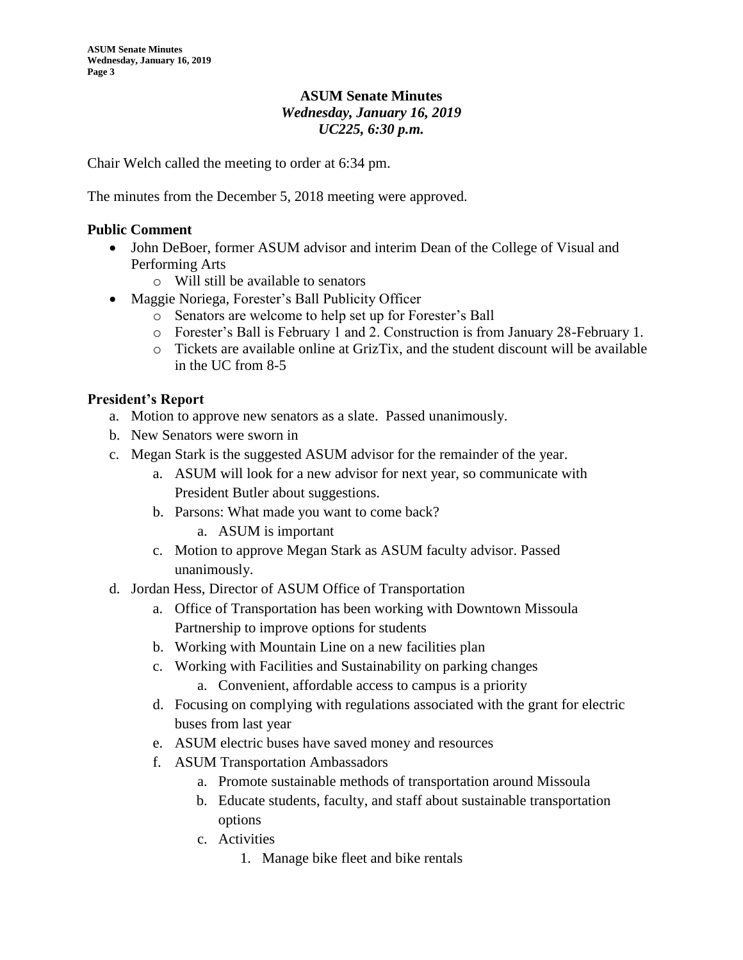#### **ASUM Senate Minutes** *Wednesday, January 16, 2019 UC225, 6:30 p.m.*

Chair Welch called the meeting to order at 6:34 pm.

The minutes from the December 5, 2018 meeting were approved.

#### **Public Comment**

- John DeBoer, former ASUM advisor and interim Dean of the College of Visual and Performing Arts
	- o Will still be available to senators
- Maggie Noriega, Forester's Ball Publicity Officer
	- o Senators are welcome to help set up for Forester's Ball
	- o Forester's Ball is February 1 and 2. Construction is from January 28-February 1.
	- $\circ$  Tickets are available online at GrizTix, and the student discount will be available in the UC from 8-5

#### **President's Report**

- a. Motion to approve new senators as a slate. Passed unanimously.
- b. New Senators were sworn in
- c. Megan Stark is the suggested ASUM advisor for the remainder of the year.
	- a. ASUM will look for a new advisor for next year, so communicate with President Butler about suggestions.
	- b. Parsons: What made you want to come back?
		- a. ASUM is important
	- c. Motion to approve Megan Stark as ASUM faculty advisor. Passed unanimously.
- d. Jordan Hess, Director of ASUM Office of Transportation
	- a. Office of Transportation has been working with Downtown Missoula Partnership to improve options for students
	- b. Working with Mountain Line on a new facilities plan
	- c. Working with Facilities and Sustainability on parking changes
		- a. Convenient, affordable access to campus is a priority
	- d. Focusing on complying with regulations associated with the grant for electric buses from last year
	- e. ASUM electric buses have saved money and resources
	- f. ASUM Transportation Ambassadors
		- a. Promote sustainable methods of transportation around Missoula
		- b. Educate students, faculty, and staff about sustainable transportation options
		- c. Activities
			- 1. Manage bike fleet and bike rentals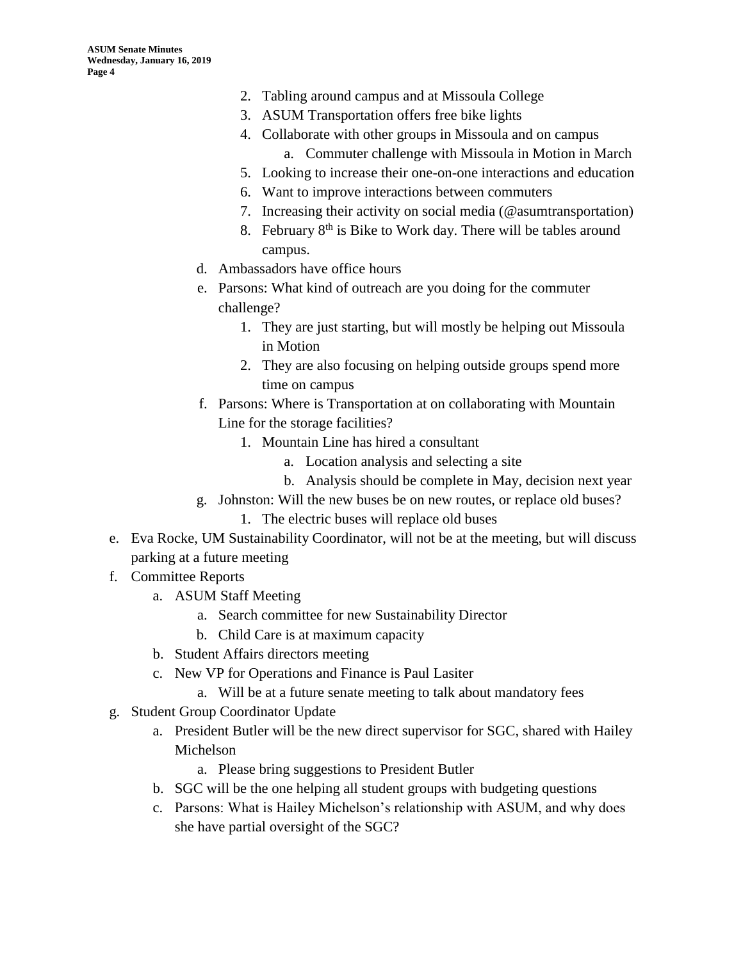- 2. Tabling around campus and at Missoula College
- 3. ASUM Transportation offers free bike lights
- 4. Collaborate with other groups in Missoula and on campus a. Commuter challenge with Missoula in Motion in March
- 5. Looking to increase their one-on-one interactions and education
- 6. Want to improve interactions between commuters
- 7. Increasing their activity on social media (@asumtransportation)
- 8. February  $8<sup>th</sup>$  is Bike to Work day. There will be tables around campus.
- d. Ambassadors have office hours
- e. Parsons: What kind of outreach are you doing for the commuter challenge?
	- 1. They are just starting, but will mostly be helping out Missoula in Motion
	- 2. They are also focusing on helping outside groups spend more time on campus
- f. Parsons: Where is Transportation at on collaborating with Mountain Line for the storage facilities?
	- 1. Mountain Line has hired a consultant
		- a. Location analysis and selecting a site
		- b. Analysis should be complete in May, decision next year
- g. Johnston: Will the new buses be on new routes, or replace old buses?
	- 1. The electric buses will replace old buses
- e. Eva Rocke, UM Sustainability Coordinator, will not be at the meeting, but will discuss parking at a future meeting
- f. Committee Reports
	- a. ASUM Staff Meeting
		- a. Search committee for new Sustainability Director
		- b. Child Care is at maximum capacity
	- b. Student Affairs directors meeting
	- c. New VP for Operations and Finance is Paul Lasiter
		- a. Will be at a future senate meeting to talk about mandatory fees
- g. Student Group Coordinator Update
	- a. President Butler will be the new direct supervisor for SGC, shared with Hailey Michelson
		- a. Please bring suggestions to President Butler
	- b. SGC will be the one helping all student groups with budgeting questions
	- c. Parsons: What is Hailey Michelson's relationship with ASUM, and why does she have partial oversight of the SGC?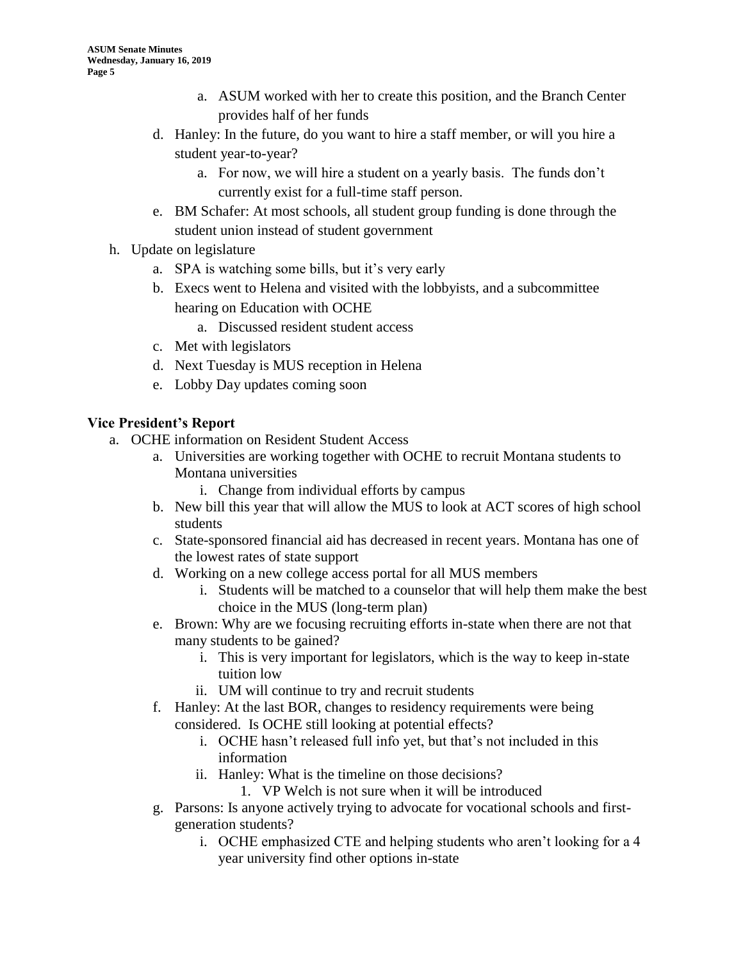- a. ASUM worked with her to create this position, and the Branch Center provides half of her funds
- d. Hanley: In the future, do you want to hire a staff member, or will you hire a student year-to-year?
	- a. For now, we will hire a student on a yearly basis. The funds don't currently exist for a full-time staff person.
- e. BM Schafer: At most schools, all student group funding is done through the student union instead of student government
- h. Update on legislature
	- a. SPA is watching some bills, but it's very early
	- b. Execs went to Helena and visited with the lobbyists, and a subcommittee hearing on Education with OCHE
		- a. Discussed resident student access
	- c. Met with legislators
	- d. Next Tuesday is MUS reception in Helena
	- e. Lobby Day updates coming soon

### **Vice President's Report**

- a. OCHE information on Resident Student Access
	- a. Universities are working together with OCHE to recruit Montana students to Montana universities
		- i. Change from individual efforts by campus
	- b. New bill this year that will allow the MUS to look at ACT scores of high school students
	- c. State-sponsored financial aid has decreased in recent years. Montana has one of the lowest rates of state support
	- d. Working on a new college access portal for all MUS members
		- i. Students will be matched to a counselor that will help them make the best choice in the MUS (long-term plan)
	- e. Brown: Why are we focusing recruiting efforts in-state when there are not that many students to be gained?
		- i. This is very important for legislators, which is the way to keep in-state tuition low
		- ii. UM will continue to try and recruit students
	- f. Hanley: At the last BOR, changes to residency requirements were being considered. Is OCHE still looking at potential effects?
		- i. OCHE hasn't released full info yet, but that's not included in this information
		- ii. Hanley: What is the timeline on those decisions?
			- 1. VP Welch is not sure when it will be introduced
	- g. Parsons: Is anyone actively trying to advocate for vocational schools and firstgeneration students?
		- i. OCHE emphasized CTE and helping students who aren't looking for a 4 year university find other options in-state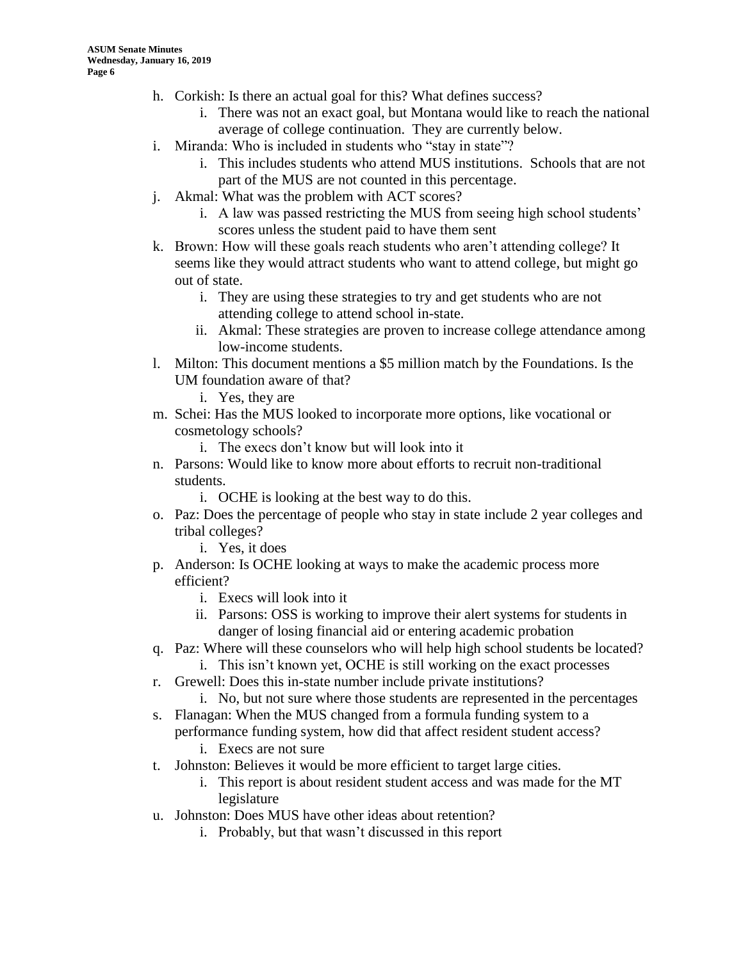- h. Corkish: Is there an actual goal for this? What defines success?
	- i. There was not an exact goal, but Montana would like to reach the national average of college continuation. They are currently below.
- i. Miranda: Who is included in students who "stay in state"?
	- i. This includes students who attend MUS institutions. Schools that are not part of the MUS are not counted in this percentage.
- j. Akmal: What was the problem with ACT scores?
	- i. A law was passed restricting the MUS from seeing high school students' scores unless the student paid to have them sent
- k. Brown: How will these goals reach students who aren't attending college? It seems like they would attract students who want to attend college, but might go out of state.
	- i. They are using these strategies to try and get students who are not attending college to attend school in-state.
	- ii. Akmal: These strategies are proven to increase college attendance among low-income students.
- l. Milton: This document mentions a \$5 million match by the Foundations. Is the UM foundation aware of that?

i. Yes, they are

- m. Schei: Has the MUS looked to incorporate more options, like vocational or cosmetology schools?
	- i. The execs don't know but will look into it
- n. Parsons: Would like to know more about efforts to recruit non-traditional students.
	- i. OCHE is looking at the best way to do this.
- o. Paz: Does the percentage of people who stay in state include 2 year colleges and tribal colleges?
	- i. Yes, it does
- p. Anderson: Is OCHE looking at ways to make the academic process more efficient?
	- i. Execs will look into it
	- ii. Parsons: OSS is working to improve their alert systems for students in danger of losing financial aid or entering academic probation
- q. Paz: Where will these counselors who will help high school students be located?
	- i. This isn't known yet, OCHE is still working on the exact processes
- r. Grewell: Does this in-state number include private institutions?
	- i. No, but not sure where those students are represented in the percentages
- s. Flanagan: When the MUS changed from a formula funding system to a performance funding system, how did that affect resident student access?
	- i. Execs are not sure
- t. Johnston: Believes it would be more efficient to target large cities.
	- i. This report is about resident student access and was made for the MT legislature
- u. Johnston: Does MUS have other ideas about retention?
	- i. Probably, but that wasn't discussed in this report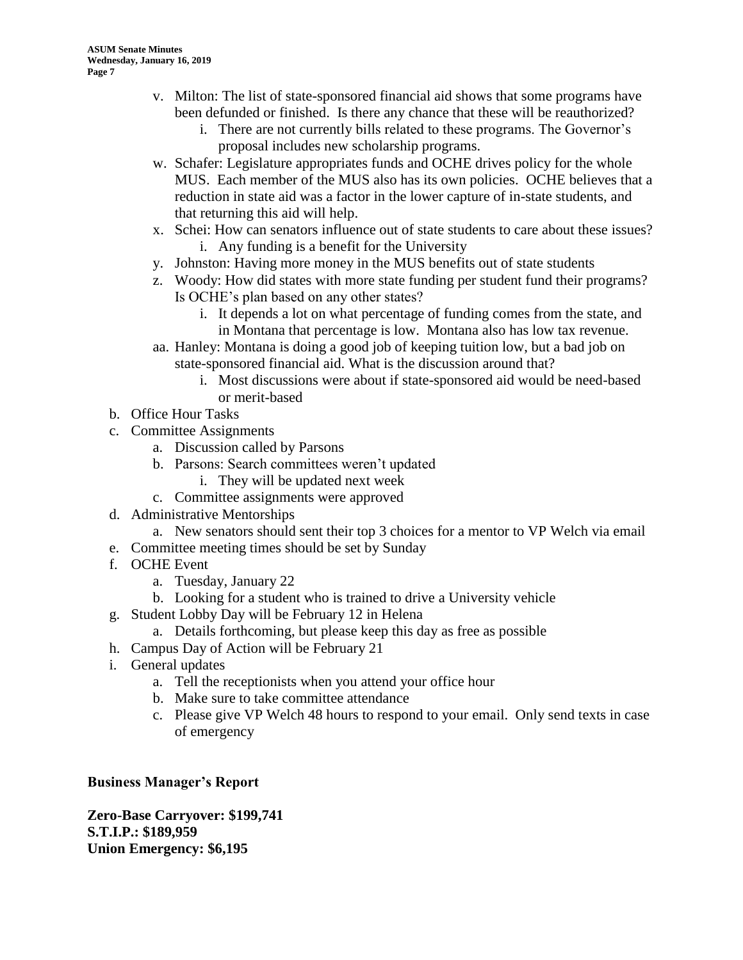- v. Milton: The list of state-sponsored financial aid shows that some programs have been defunded or finished. Is there any chance that these will be reauthorized?
	- i. There are not currently bills related to these programs. The Governor's proposal includes new scholarship programs.
- w. Schafer: Legislature appropriates funds and OCHE drives policy for the whole MUS. Each member of the MUS also has its own policies. OCHE believes that a reduction in state aid was a factor in the lower capture of in-state students, and that returning this aid will help.
- x. Schei: How can senators influence out of state students to care about these issues? i. Any funding is a benefit for the University
- y. Johnston: Having more money in the MUS benefits out of state students
- z. Woody: How did states with more state funding per student fund their programs? Is OCHE's plan based on any other states?
	- i. It depends a lot on what percentage of funding comes from the state, and in Montana that percentage is low. Montana also has low tax revenue.
- aa. Hanley: Montana is doing a good job of keeping tuition low, but a bad job on state-sponsored financial aid. What is the discussion around that?
	- i. Most discussions were about if state-sponsored aid would be need-based or merit-based
- b. Office Hour Tasks
- c. Committee Assignments
	- a. Discussion called by Parsons
	- b. Parsons: Search committees weren't updated
		- i. They will be updated next week
	- c. Committee assignments were approved
- d. Administrative Mentorships
	- a. New senators should sent their top 3 choices for a mentor to VP Welch via email
- e. Committee meeting times should be set by Sunday
- f. OCHE Event
	- a. Tuesday, January 22
	- b. Looking for a student who is trained to drive a University vehicle
- g. Student Lobby Day will be February 12 in Helena
	- a. Details forthcoming, but please keep this day as free as possible
- h. Campus Day of Action will be February 21
- i. General updates
	- a. Tell the receptionists when you attend your office hour
	- b. Make sure to take committee attendance
	- c. Please give VP Welch 48 hours to respond to your email. Only send texts in case of emergency

# **Business Manager's Report**

**Zero-Base Carryover: \$199,741 S.T.I.P.: \$189,959 Union Emergency: \$6,195**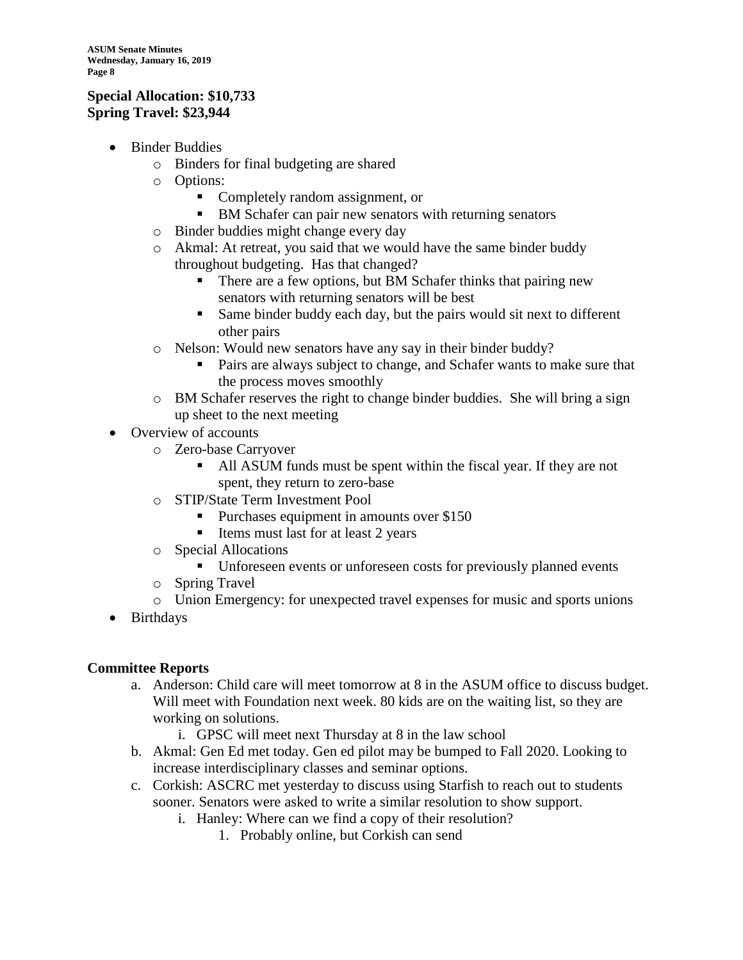#### **Special Allocation: \$10,733 Spring Travel: \$23,944**

- Binder Buddies
	- o Binders for final budgeting are shared
	- o Options:
		- Completely random assignment, or
		- BM Schafer can pair new senators with returning senators
	- o Binder buddies might change every day
	- o Akmal: At retreat, you said that we would have the same binder buddy throughout budgeting. Has that changed?
		- There are a few options, but BM Schafer thinks that pairing new senators with returning senators will be best
		- Same binder buddy each day, but the pairs would sit next to different other pairs
	- o Nelson: Would new senators have any say in their binder buddy?
		- Pairs are always subject to change, and Schafer wants to make sure that the process moves smoothly
	- o BM Schafer reserves the right to change binder buddies. She will bring a sign up sheet to the next meeting
- Overview of accounts
	- o Zero-base Carryover
		- All ASUM funds must be spent within the fiscal year. If they are not spent, they return to zero-base
	- o STIP/State Term Investment Pool
		- Purchases equipment in amounts over \$150
		- Items must last for at least 2 years
	- o Special Allocations
		- Unforeseen events or unforeseen costs for previously planned events
	- o Spring Travel
	- o Union Emergency: for unexpected travel expenses for music and sports unions
- Birthdays

#### **Committee Reports**

- a. Anderson: Child care will meet tomorrow at 8 in the ASUM office to discuss budget. Will meet with Foundation next week. 80 kids are on the waiting list, so they are working on solutions.
	- i. GPSC will meet next Thursday at 8 in the law school
- b. Akmal: Gen Ed met today. Gen ed pilot may be bumped to Fall 2020. Looking to increase interdisciplinary classes and seminar options.
- c. Corkish: ASCRC met yesterday to discuss using Starfish to reach out to students sooner. Senators were asked to write a similar resolution to show support.
	- i. Hanley: Where can we find a copy of their resolution?
		- 1. Probably online, but Corkish can send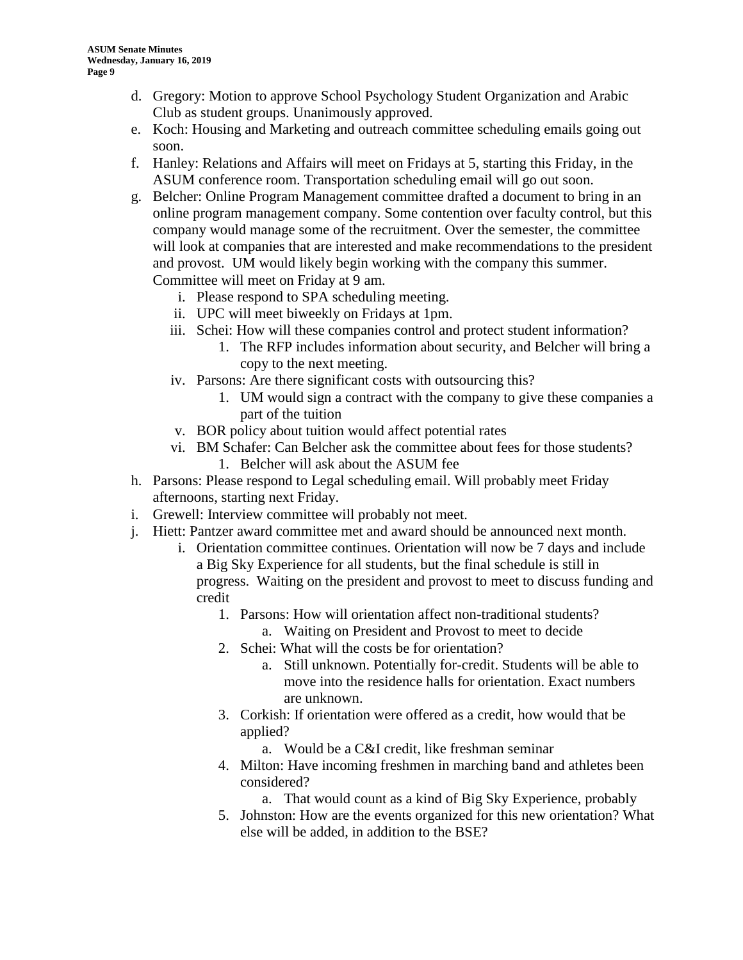- d. Gregory: Motion to approve School Psychology Student Organization and Arabic Club as student groups. Unanimously approved.
- e. Koch: Housing and Marketing and outreach committee scheduling emails going out soon.
- f. Hanley: Relations and Affairs will meet on Fridays at 5, starting this Friday, in the ASUM conference room. Transportation scheduling email will go out soon.
- g. Belcher: Online Program Management committee drafted a document to bring in an online program management company. Some contention over faculty control, but this company would manage some of the recruitment. Over the semester, the committee will look at companies that are interested and make recommendations to the president and provost. UM would likely begin working with the company this summer. Committee will meet on Friday at 9 am.
	- i. Please respond to SPA scheduling meeting.
	- ii. UPC will meet biweekly on Fridays at 1pm.
	- iii. Schei: How will these companies control and protect student information?
		- 1. The RFP includes information about security, and Belcher will bring a copy to the next meeting.
	- iv. Parsons: Are there significant costs with outsourcing this?
		- 1. UM would sign a contract with the company to give these companies a part of the tuition
	- v. BOR policy about tuition would affect potential rates
	- vi. BM Schafer: Can Belcher ask the committee about fees for those students? 1. Belcher will ask about the ASUM fee
- h. Parsons: Please respond to Legal scheduling email. Will probably meet Friday afternoons, starting next Friday.
- i. Grewell: Interview committee will probably not meet.
- j. Hiett: Pantzer award committee met and award should be announced next month.
	- i. Orientation committee continues. Orientation will now be 7 days and include a Big Sky Experience for all students, but the final schedule is still in progress. Waiting on the president and provost to meet to discuss funding and credit
		- 1. Parsons: How will orientation affect non-traditional students?
			- a. Waiting on President and Provost to meet to decide
		- 2. Schei: What will the costs be for orientation?
			- a. Still unknown. Potentially for-credit. Students will be able to move into the residence halls for orientation. Exact numbers are unknown.
		- 3. Corkish: If orientation were offered as a credit, how would that be applied?
			- a. Would be a C&I credit, like freshman seminar
		- 4. Milton: Have incoming freshmen in marching band and athletes been considered?
			- a. That would count as a kind of Big Sky Experience, probably
		- 5. Johnston: How are the events organized for this new orientation? What else will be added, in addition to the BSE?